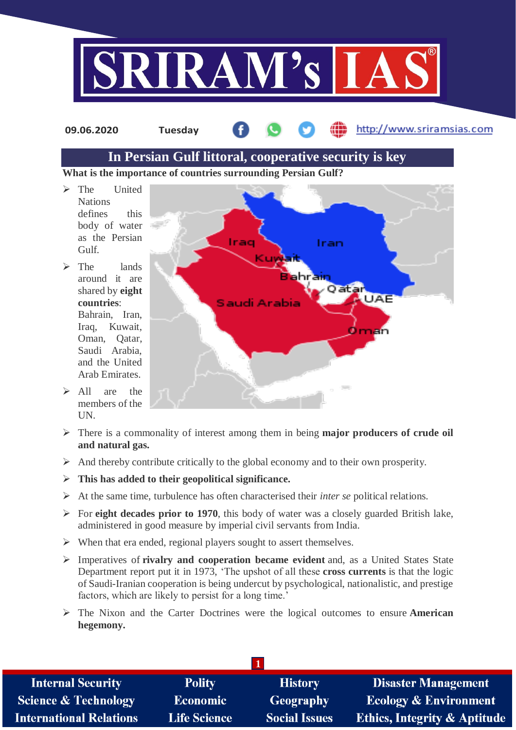

**09.06.2020 Tuesday**

http://www.sriramsias.com

# **In Persian Gulf littoral, cooperative security is key**

**What is the importance of countries surrounding Persian Gulf?**

- > The United Nations defines this body of water as the Persian Gulf.
- $\triangleright$  The lands around it are shared by **eight countries**: Bahrain, Iran, Iraq, Kuwait, Oman, Qatar, Saudi Arabia, and the United Arab Emirates.
- $\triangleright$  All are the members of the UN.



- There is a commonality of interest among them in being **major producers of crude oil and natural gas.**
- $\triangleright$  And thereby contribute critically to the global economy and to their own prosperity.
- **This has added to their geopolitical significance.**
- At the same time, turbulence has often characterised their *inter se* political relations.
- For **eight decades prior to 1970**, this body of water was a closely guarded British lake, administered in good measure by imperial civil servants from India.
- $\triangleright$  When that era ended, regional players sought to assert themselves.
- Imperatives of **rivalry and cooperation became evident** and, as a United States State Department report put it in 1973, 'The upshot of all these **cross currents** is that the logic of Saudi-Iranian cooperation is being undercut by psychological, nationalistic, and prestige factors, which are likely to persist for a long time.'
- The Nixon and the Carter Doctrines were the logical outcomes to ensure **American hegemony.**

| <b>Internal Security</b>        | <b>Polity</b>       | <b>History</b>       | <b>Disaster Management</b>              |
|---------------------------------|---------------------|----------------------|-----------------------------------------|
| <b>Science &amp; Technology</b> | <b>Economic</b>     | <b>Geography</b>     | <b>Ecology &amp; Environment</b>        |
| <b>International Relations</b>  | <b>Life Science</b> | <b>Social Issues</b> | <b>Ethics, Integrity &amp; Aptitude</b> |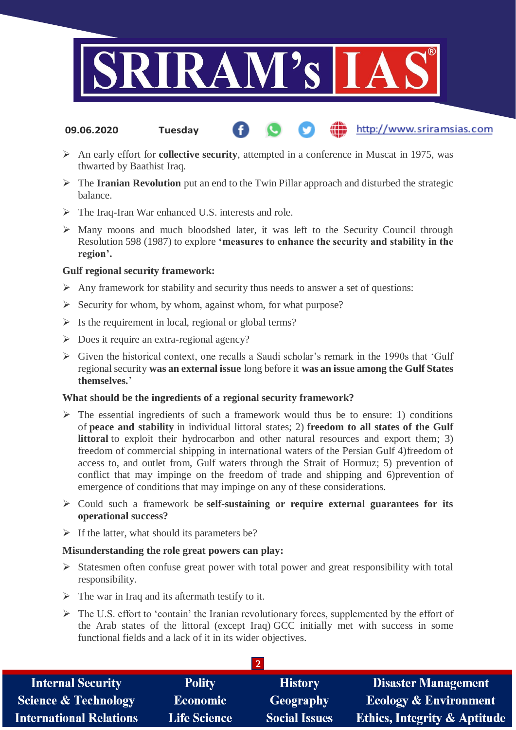

- http://www.sriramsias.com **09.06.2020 Tuesday**
- An early effort for **collective security**, attempted in a conference in Muscat in 1975, was thwarted by Baathist Iraq.
- The **Iranian Revolution** put an end to the Twin Pillar approach and disturbed the strategic balance.
- The Iraq-Iran War enhanced U.S. interests and role.
- $\triangleright$  Many moons and much bloodshed later, it was left to the Security Council through Resolution 598 (1987) to explore **'measures to enhance the security and stability in the region'.**

### **Gulf regional security framework:**

- $\triangleright$  Any framework for stability and security thus needs to answer a set of questions:
- $\triangleright$  Security for whom, by whom, against whom, for what purpose?
- $\triangleright$  Is the requirement in local, regional or global terms?
- $\triangleright$  Does it require an extra-regional agency?
- Given the historical context, one recalls a Saudi scholar's remark in the 1990s that 'Gulf regional security **was an external issue** long before it **was an issue among the Gulf States themselves.**'

#### **What should be the ingredients of a regional security framework?**

- $\triangleright$  The essential ingredients of such a framework would thus be to ensure: 1) conditions of **peace and stability** in individual littoral states; 2) **freedom to all states of the Gulf littoral** to exploit their hydrocarbon and other natural resources and export them; 3) freedom of commercial shipping in international waters of the Persian Gulf 4)freedom of access to, and outlet from, Gulf waters through the Strait of Hormuz; 5) prevention of conflict that may impinge on the freedom of trade and shipping and 6)prevention of emergence of conditions that may impinge on any of these considerations.
- Could such a framework be **self-sustaining or require external guarantees for its operational success?**
- $\triangleright$  If the latter, what should its parameters be?

#### **Misunderstanding the role great powers can play:**

- $\triangleright$  Statesmen often confuse great power with total power and great responsibility with total responsibility.
- $\triangleright$  The war in Iraq and its aftermath testify to it.
- The U.S. effort to 'contain' the Iranian revolutionary forces, supplemented by the effort of the Arab states of the littoral (except Iraq) GCC initially met with success in some functional fields and a lack of it in its wider objectives.

| <b>Internal Security</b>        | <b>Polity</b>       | <b>History</b>       | <b>Disaster Management</b>              |
|---------------------------------|---------------------|----------------------|-----------------------------------------|
| <b>Science &amp; Technology</b> | <b>Economic</b>     | Geography            | <b>Ecology &amp; Environment</b>        |
| <b>International Relations</b>  | <b>Life Science</b> | <b>Social Issues</b> | <b>Ethics, Integrity &amp; Aptitude</b> |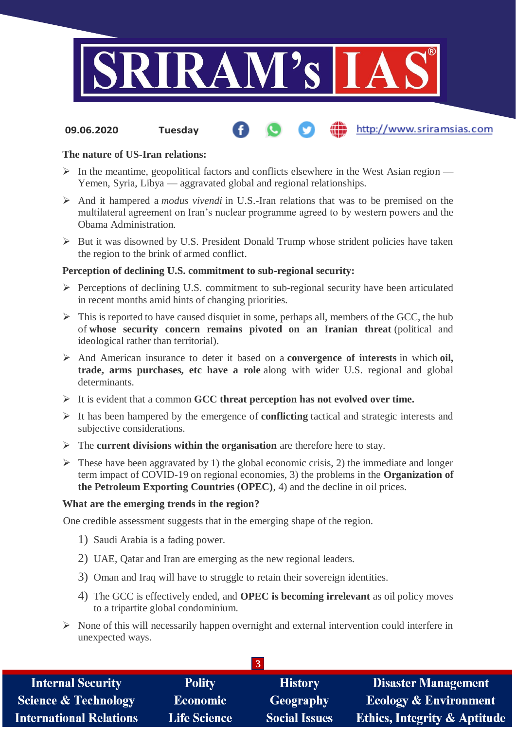

#### http://www.sriramsias.com **09.06.2020 Tuesday**

### **The nature of US-Iran relations:**

- $\triangleright$  In the meantime, geopolitical factors and conflicts elsewhere in the West Asian region Yemen, Syria, Libya — aggravated global and regional relationships.
- And it hampered a *modus vivendi* in U.S.-Iran relations that was to be premised on the multilateral agreement on Iran's nuclear programme agreed to by western powers and the Obama Administration.
- $\triangleright$  But it was disowned by U.S. President Donald Trump whose strident policies have taken the region to the brink of armed conflict.

#### **Perception of declining U.S. commitment to sub-regional security:**

- $\triangleright$  Perceptions of declining U.S. commitment to sub-regional security have been articulated in recent months amid hints of changing priorities.
- $\triangleright$  This is reported to have caused disquiet in some, perhaps all, members of the GCC, the hub of **whose security concern remains pivoted on an Iranian threat** (political and ideological rather than territorial).
- And American insurance to deter it based on a **convergence of interests** in which **oil, trade, arms purchases, etc have a role** along with wider U.S. regional and global determinants.
- It is evident that a common **GCC threat perception has not evolved over time.**
- It has been hampered by the emergence of **conflicting** tactical and strategic interests and subjective considerations.
- The **current divisions within the organisation** are therefore here to stay.
- $\triangleright$  These have been aggravated by 1) the global economic crisis, 2) the immediate and longer term impact of COVID-19 on regional economies, 3) the problems in the **Organization of the Petroleum Exporting Countries (OPEC)**, 4) and the decline in oil prices.

#### **What are the emerging trends in the region?**

One credible assessment suggests that in the emerging shape of the region.

- 1) Saudi Arabia is a fading power.
- 2) UAE, Qatar and Iran are emerging as the new regional leaders.
- 3) Oman and Iraq will have to struggle to retain their sovereign identities.
- 4) The GCC is effectively ended, and **OPEC is becoming irrelevant** as oil policy moves to a tripartite global condominium.
- $\triangleright$  None of this will necessarily happen overnight and external intervention could interfere in unexpected ways.

| <b>Internal Security</b>        | <b>Polity</b>       | <b>History</b>       | <b>Disaster Management</b>              |
|---------------------------------|---------------------|----------------------|-----------------------------------------|
| <b>Science &amp; Technology</b> | <b>Economic</b>     | <b>Geography</b>     | <b>Ecology &amp; Environment</b>        |
| <b>International Relations</b>  | <b>Life Science</b> | <b>Social Issues</b> | <b>Ethics, Integrity &amp; Aptitude</b> |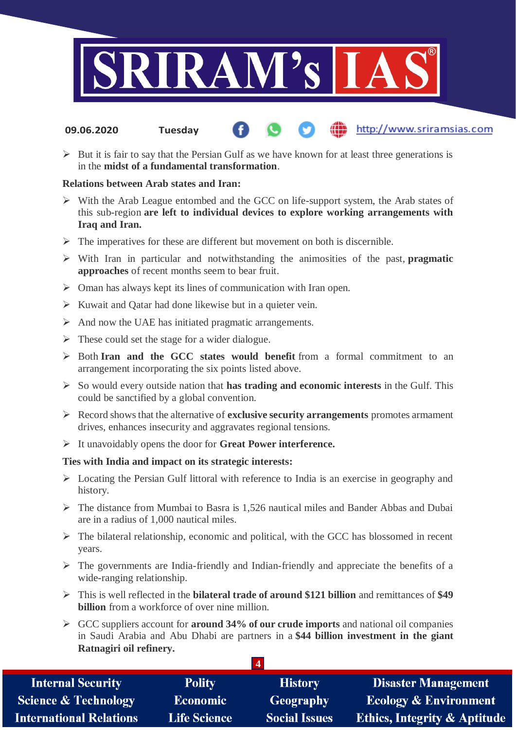

- http://www.sriramsias.com **09.06.2020 Tuesday**
- $\triangleright$  But it is fair to say that the Persian Gulf as we have known for at least three generations is in the **midst of a fundamental transformation**.

#### **Relations between Arab states and Iran:**

- $\triangleright$  With the Arab League entombed and the GCC on life-support system, the Arab states of this sub-region **are left to individual devices to explore working arrangements with Iraq and Iran.**
- $\triangleright$  The imperatives for these are different but movement on both is discernible.
- With Iran in particular and notwithstanding the animosities of the past, **pragmatic approaches** of recent months seem to bear fruit.
- $\triangleright$  Oman has always kept its lines of communication with Iran open.
- $\triangleright$  Kuwait and Qatar had done likewise but in a quieter vein.
- $\triangleright$  And now the UAE has initiated pragmatic arrangements.
- $\triangleright$  These could set the stage for a wider dialogue.
- Both **Iran and the GCC states would benefit** from a formal commitment to an arrangement incorporating the six points listed above.
- So would every outside nation that **has trading and economic interests** in the Gulf. This could be sanctified by a global convention.
- Record shows that the alternative of **exclusive security arrangements** promotes armament drives, enhances insecurity and aggravates regional tensions.
- It unavoidably opens the door for **Great Power interference.**

## **Ties with India and impact on its strategic interests:**

- Locating the Persian Gulf littoral with reference to India is an exercise in geography and history.
- $\triangleright$  The distance from Mumbai to Basra is 1,526 nautical miles and Bander Abbas and Dubai are in a radius of 1,000 nautical miles.
- $\triangleright$  The bilateral relationship, economic and political, with the GCC has blossomed in recent years.
- $\triangleright$  The governments are India-friendly and Indian-friendly and appreciate the benefits of a wide-ranging relationship.
- This is well reflected in the **bilateral trade of around \$121 billion** and remittances of **\$49 billion** from a workforce of over nine million.
- GCC suppliers account for **around 34% of our crude imports** and national oil companies in Saudi Arabia and Abu Dhabi are partners in a **\$44 billion investment in the giant Ratnagiri oil refinery.**

**4**

| <b>Internal Security</b>       | <b>Polity</b>       | <b>History</b>       | <b>Disaster Management</b>              |
|--------------------------------|---------------------|----------------------|-----------------------------------------|
| Science & Technology           | <b>Economic</b>     | Geography            | <b>Ecology &amp; Environment</b>        |
| <b>International Relations</b> | <b>Life Science</b> | <b>Social Issues</b> | <b>Ethics, Integrity &amp; Aptitude</b> |